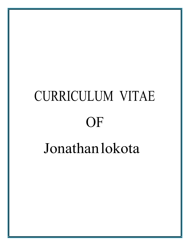# CURRICULUM VITAE **OF** Jonathanlokota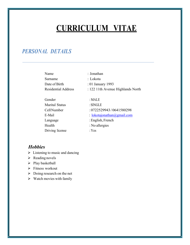## **CURRICULUM VITAE**

## *PERSONAL DETAILS*

| Name                       | : Jonathan                        |
|----------------------------|-----------------------------------|
| Surname                    | : Lokota                          |
| Date of Birth              | : 01 January 1993                 |
| <b>Residential Address</b> | : 122 11th Avenue Highlands North |
| Gender                     | :MALE                             |
| Marital Status             | $:$ SINGLE                        |
| CellNumber                 | : 0722529943/0641580298           |
| E-Mail                     | : lokotajonathan@gmail.com        |
| Language                   | : English, French                 |
| Health                     | : No allergies                    |
| Driving license            | : Yes                             |
|                            |                                   |

#### *Hobbies*

- $\triangleright$  Listening to music and dancing
- $\triangleright$  Reading novels
- $\triangleright$  Play basketball
- Ø Fitness workout
- $\triangleright$  Doing research on the net
- $\triangleright$  Watch movies with family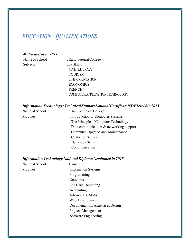## *EDUCATION QUALIFICATIONS*

#### *Matriculated in 2011*

Subjects : ENGLISH

Name of School : Rand Tutorial College MATH LITERACY TOURISM LIFE ORIENTATION **ECONOMICS** FRENCH COMPUTERAPPLICATIONTECHNOLOGY

#### *InformationTechnology:TechnicalSupportNationalCertificateNDFlevel4in2013*

Name of School : Dam Technical College Modules : Introduction to Computer Systems The Principle of Computer Technology Data communication & networking support Computer Upgrade and Maintenance Customer Support Numeracy Skills Communication

#### *Information Technology National Diploma Graduated in 2018*

| Name of School | : Damelin                        |
|----------------|----------------------------------|
| Modules        | : Information Systems            |
|                | Programming                      |
|                | <b>Networks</b>                  |
|                | End User Computing               |
|                | Accounting                       |
|                | <b>Advanced PC Skills</b>        |
|                | Web Development                  |
|                | Documentation, Analysis & Design |
|                | Project Management               |
|                | Software Engineering             |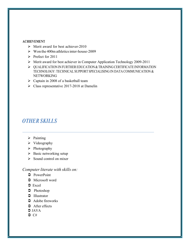#### **ACHIEVEMENT**

- $\triangleright$  Merit award for best achiever-2010
- $\triangleright$  Won the 400m athletics inter-house-2009
- $\triangleright$  Prefect for 2011
- Ø Merit award for best achiever in Computer Application Technology 2009-2011
- $\triangleright$  QUALIFICATION IN FURTHER EDUCATION & TRAINING CERTIFICATE INFORMATION TECHNOLOGY: TECHNICAL SUPPORT SPECIALISING IN DATA COMMUNICATION & NETWORKING
- $\triangleright$  Captain in 2008 of a basketball team
- $\triangleright$  Class representative 2017-2018 at Damelin

## *OTHER SKILLS*

- $\triangleright$  Painting
- $\triangleright$  Videography
- $\triangleright$  Photography
- $\triangleright$  Basic networking setup
- $\triangleright$  Sound control on mixer

#### *Computer literate with skills on:*

- $\supset$  PowerPoint
- $\supset$  Microsoft word
- $\supset$  Excel
- $\bullet$  Photoshop
- $\supset$  Illustrator
- $\bullet$  Adobe fireworks
- $\triangle$  After effects
- $\bigcirc$  JAVA
- $\bigcirc$  C#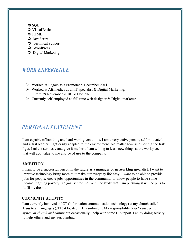- $\supset$  SOL
- $\triangleright$  Visual Basic
- $\supset$  HTML
- $\supset$  JavaScript
- $\supset$  Technical Support
- $\supset$  WordPress
- $\supset$  Digital Marketing

## *WORK EXPERIENCE*

- Ø Worked at Edgars as a Promoter : December 2011
- $\triangleright$  Worked at Afrimedics as an IT specialist & Digital Marketing: From 29 November 2018 To Dec 2020
- $\triangleright$  Currently self-employed as full time web designer & Digital marketer

## *PERSONAL STATEMENT*

I am capable of handling any hard work given to me. I am a very active person, self-motivated and a fast learner. I get easily adapted to the environment. No matter how small or big the task I get, I take it seriously and give it my best. I am willing to learn new things at the workplace that will add value to me and be of use to the company.

#### **AMBITION**

I want to be a successful person in the future as a **manager** or **networking specialist**. I want to improve technology bring more to it make our everyday life easy. I want to be able to provide jobs for people, create jobs opportunities in the community to allow people to have some income; fighting poverty is a goal set for me. With the study that I am pursuing it will be plus to fulfil my dream.

#### **COMMUNITY ACTIVITY**

I am currently involved in ICT (Information communication technology) at my church called Jesus to all languages (JTL) it located in Braamfontein. My responsibility *is to fix the sound system at church and editing* but occasionally I help with some IT support. I enjoy doing activity to help others and my surrounding.